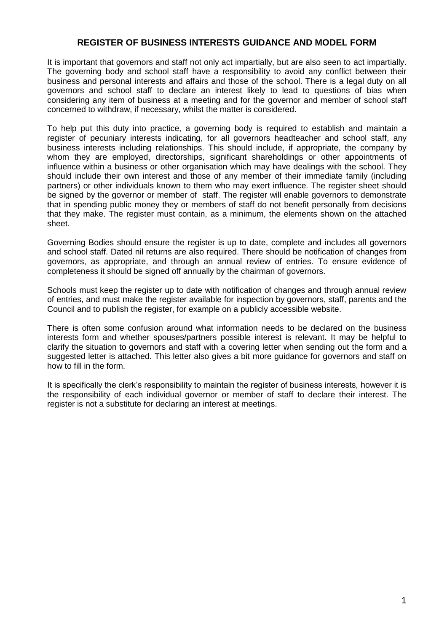# **REGISTER OF BUSINESS INTERESTS GUIDANCE AND MODEL FORM**

It is important that governors and staff not only act impartially, but are also seen to act impartially. The governing body and school staff have a responsibility to avoid any conflict between their business and personal interests and affairs and those of the school. There is a legal duty on all governors and school staff to declare an interest likely to lead to questions of bias when considering any item of business at a meeting and for the governor and member of school staff concerned to withdraw, if necessary, whilst the matter is considered.

To help put this duty into practice, a governing body is required to establish and maintain a register of pecuniary interests indicating, for all governors headteacher and school staff, any business interests including relationships. This should include, if appropriate, the company by whom they are employed, directorships, significant shareholdings or other appointments of influence within a business or other organisation which may have dealings with the school. They should include their own interest and those of any member of their immediate family (including partners) or other individuals known to them who may exert influence. The register sheet should be signed by the governor or member of staff. The register will enable governors to demonstrate that in spending public money they or members of staff do not benefit personally from decisions that they make. The register must contain, as a minimum, the elements shown on the attached sheet.

Governing Bodies should ensure the register is up to date, complete and includes all governors and school staff. Dated nil returns are also required. There should be notification of changes from governors, as appropriate, and through an annual review of entries. To ensure evidence of completeness it should be signed off annually by the chairman of governors.

Schools must keep the register up to date with notification of changes and through annual review of entries, and must make the register available for inspection by governors, staff, parents and the Council and to publish the register, for example on a publicly accessible website.

There is often some confusion around what information needs to be declared on the business interests form and whether spouses/partners possible interest is relevant. It may be helpful to clarify the situation to governors and staff with a covering letter when sending out the form and a suggested letter is attached. This letter also gives a bit more guidance for governors and staff on how to fill in the form.

It is specifically the clerk's responsibility to maintain the register of business interests, however it is the responsibility of each individual governor or member of staff to declare their interest. The register is not a substitute for declaring an interest at meetings.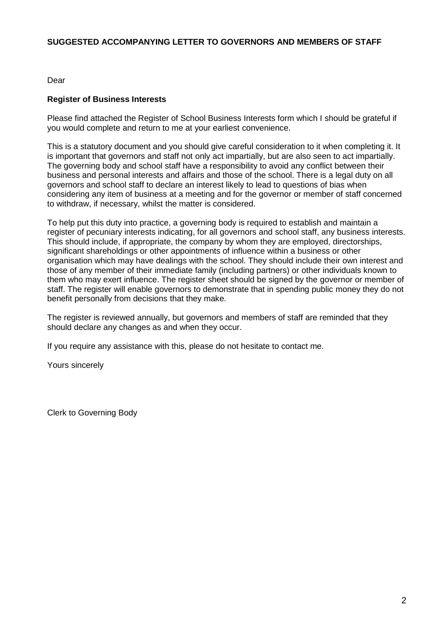# **SUGGESTED ACCOMPANYING LETTER TO GOVERNORS AND MEMBERS OF STAFF**

Dear

# **Register of Business Interests**

Please find attached the Register of School Business Interests form which I should be grateful if you would complete and return to me at your earliest convenience.

This is a statutory document and you should give careful consideration to it when completing it. It is important that governors and staff not only act impartially, but are also seen to act impartially. The governing body and school staff have a responsibility to avoid any conflict between their business and personal interests and affairs and those of the school. There is a legal duty on all governors and school staff to declare an interest likely to lead to questions of bias when considering any item of business at a meeting and for the governor or member of staff concerned to withdraw, if necessary, whilst the matter is considered.

To help put this duty into practice, a governing body is required to establish and maintain a register of pecuniary interests indicating, for all governors and school staff, any business interests. This should include, if appropriate, the company by whom they are employed, directorships, significant shareholdings or other appointments of influence within a business or other organisation which may have dealings with the school. They should include their own interest and those of any member of their immediate family (including partners) or other individuals known to them who may exert influence. The register sheet should be signed by the governor or member of staff. The register will enable governors to demonstrate that in spending public money they do not benefit personally from decisions that they make.

The register is reviewed annually, but governors and members of staff are reminded that they should declare any changes as and when they occur.

If you require any assistance with this, please do not hesitate to contact me.

Yours sincerely

Clerk to Governing Body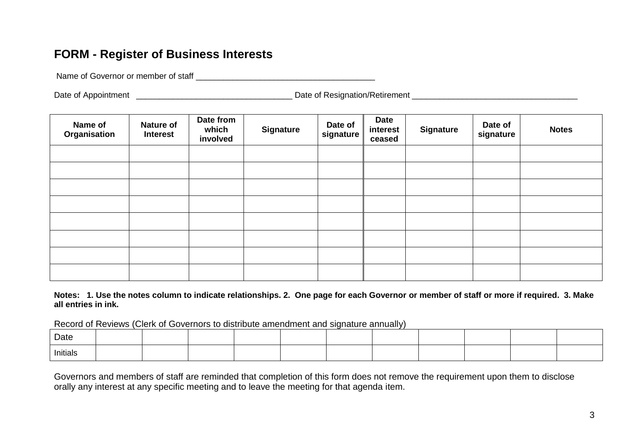# **FORM - Register of Business Interests**

Name of Governor or member of staff **Names** of  $\sim$ 

Date of Appointment \_\_\_\_\_\_\_\_\_\_\_\_\_\_\_\_\_\_\_\_\_\_\_\_\_\_\_\_\_\_\_\_\_\_ Date of Resignation/Retirement \_\_\_\_\_\_\_\_\_\_\_\_\_\_\_\_\_\_\_\_\_\_\_\_\_\_\_\_\_\_\_\_\_\_\_\_

| Name of<br>Organisation | <b>Nature of</b><br><b>Interest</b> | Date from<br>which<br>involved | <b>Signature</b> | Date of<br>signature | <b>Date</b><br>interest<br>ceased | <b>Signature</b> | Date of<br>signature | <b>Notes</b> |  |
|-------------------------|-------------------------------------|--------------------------------|------------------|----------------------|-----------------------------------|------------------|----------------------|--------------|--|
|                         |                                     |                                |                  |                      |                                   |                  |                      |              |  |
|                         |                                     |                                |                  |                      |                                   |                  |                      |              |  |
|                         |                                     |                                |                  |                      |                                   |                  |                      |              |  |
|                         |                                     |                                |                  |                      |                                   |                  |                      |              |  |
|                         |                                     |                                |                  |                      |                                   |                  |                      |              |  |
|                         |                                     |                                |                  |                      |                                   |                  |                      |              |  |
|                         |                                     |                                |                  |                      |                                   |                  |                      |              |  |
|                         |                                     |                                |                  |                      |                                   |                  |                      |              |  |

**Notes: 1. Use the notes column to indicate relationships. 2. One page for each Governor or member of staff or more if required. 3. Make all entries in ink.** 

Record of Reviews (Clerk of Governors to distribute amendment and signature annually)

| Date            |  |  |  |  |  |  |
|-----------------|--|--|--|--|--|--|
| <b>Initials</b> |  |  |  |  |  |  |

Governors and members of staff are reminded that completion of this form does not remove the requirement upon them to disclose orally any interest at any specific meeting and to leave the meeting for that agenda item.